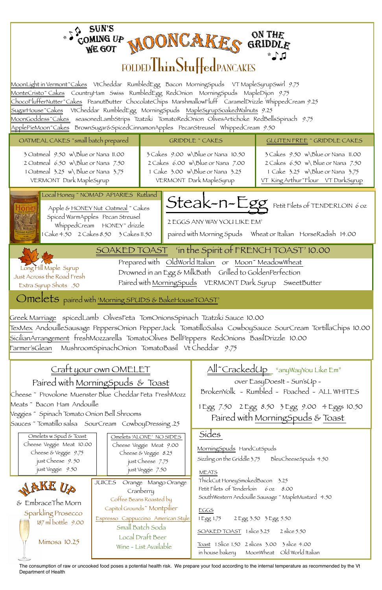



The consumption of raw or uncooked food poses a potential health risk. We prepare your food according to the internal temperature as recommended by the Vt Department of Health